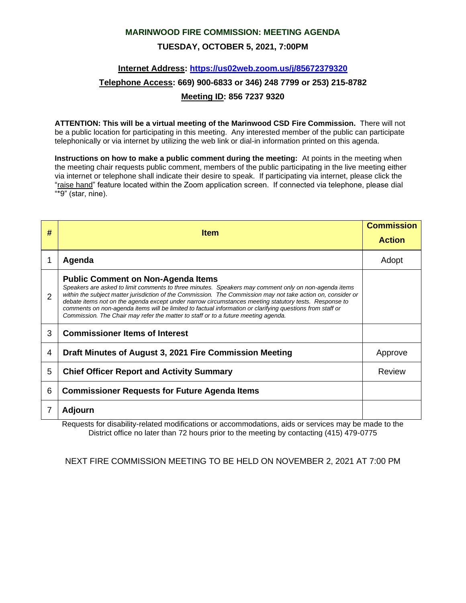### **MARINWOOD FIRE COMMISSION: MEETING AGENDA**

### **TUESDAY, OCTOBER 5, 2021, 7:00PM**

### **Internet Address:<https://us02web.zoom.us/j/85672379320>**

# **Telephone Access: 669) 900-6833 or 346) 248 7799 or 253) 215-8782**

### **Meeting ID: 856 7237 9320**

**ATTENTION: This will be a virtual meeting of the Marinwood CSD Fire Commission.** There will not be a public location for participating in this meeting. Any interested member of the public can participate telephonically or via internet by utilizing the web link or dial-in information printed on this agenda.

**Instructions on how to make a public comment during the meeting:** At points in the meeting when the meeting chair requests public comment, members of the public participating in the live meeting either via internet or telephone shall indicate their desire to speak. If participating via internet, please click the "raise hand" feature located within the Zoom application screen. If connected via telephone, please dial "\*9" (star, nine).

| #              | <b>Item</b>                                                                                                                                                                                                                                                                                                                                                                                                                                                                                                                                                                   | <b>Commission</b><br><b>Action</b> |
|----------------|-------------------------------------------------------------------------------------------------------------------------------------------------------------------------------------------------------------------------------------------------------------------------------------------------------------------------------------------------------------------------------------------------------------------------------------------------------------------------------------------------------------------------------------------------------------------------------|------------------------------------|
|                | Agenda                                                                                                                                                                                                                                                                                                                                                                                                                                                                                                                                                                        | Adopt                              |
| $\overline{2}$ | <b>Public Comment on Non-Agenda Items</b><br>Speakers are asked to limit comments to three minutes. Speakers may comment only on non-agenda items<br>within the subject matter jurisdiction of the Commission. The Commission may not take action on, consider or<br>debate items not on the agenda except under narrow circumstances meeting statutory tests. Response to<br>comments on non-agenda items will be limited to factual information or clarifying questions from staff or<br>Commission. The Chair may refer the matter to staff or to a future meeting agenda. |                                    |
| 3              | <b>Commissioner Items of Interest</b>                                                                                                                                                                                                                                                                                                                                                                                                                                                                                                                                         |                                    |
| 4              | Draft Minutes of August 3, 2021 Fire Commission Meeting                                                                                                                                                                                                                                                                                                                                                                                                                                                                                                                       | Approve                            |
| 5              | <b>Chief Officer Report and Activity Summary</b>                                                                                                                                                                                                                                                                                                                                                                                                                                                                                                                              | Review                             |
| 6              | <b>Commissioner Requests for Future Agenda Items</b>                                                                                                                                                                                                                                                                                                                                                                                                                                                                                                                          |                                    |
|                | Adjourn                                                                                                                                                                                                                                                                                                                                                                                                                                                                                                                                                                       |                                    |

Requests for disability-related modifications or accommodations, aids or services may be made to the District office no later than 72 hours prior to the meeting by contacting (415) 479-0775

NEXT FIRE COMMISSION MEETING TO BE HELD ON NOVEMBER 2, 2021 AT 7:00 PM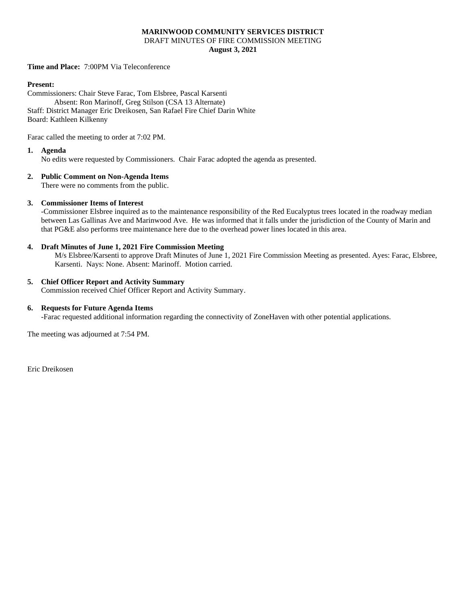### **MARINWOOD COMMUNITY SERVICES DISTRICT** DRAFT MINUTES OF FIRE COMMISSION MEETING **August 3, 2021**

**Time and Place:** 7:00PM Via Teleconference

#### **Present:**

Commissioners: Chair Steve Farac, Tom Elsbree, Pascal Karsenti Absent: Ron Marinoff, Greg Stilson (CSA 13 Alternate) Staff: District Manager Eric Dreikosen, San Rafael Fire Chief Darin White Board: Kathleen Kilkenny

Farac called the meeting to order at 7:02 PM.

#### **1. Agenda**

No edits were requested by Commissioners. Chair Farac adopted the agenda as presented.

### **2. Public Comment on Non-Agenda Items**

There were no comments from the public.

#### **3. Commissioner Items of Interest**

-Commissioner Elsbree inquired as to the maintenance responsibility of the Red Eucalyptus trees located in the roadway median between Las Gallinas Ave and Marinwood Ave. He was informed that it falls under the jurisdiction of the County of Marin and that PG&E also performs tree maintenance here due to the overhead power lines located in this area.

#### **4. Draft Minutes of June 1, 2021 Fire Commission Meeting**

M/s Elsbree/Karsenti to approve Draft Minutes of June 1, 2021 Fire Commission Meeting as presented. Ayes: Farac, Elsbree, Karsenti. Nays: None. Absent: Marinoff. Motion carried.

#### **5. Chief Officer Report and Activity Summary**

Commission received Chief Officer Report and Activity Summary.

#### **6. Requests for Future Agenda Items**

-Farac requested additional information regarding the connectivity of ZoneHaven with other potential applications.

The meeting was adjourned at 7:54 PM.

Eric Dreikosen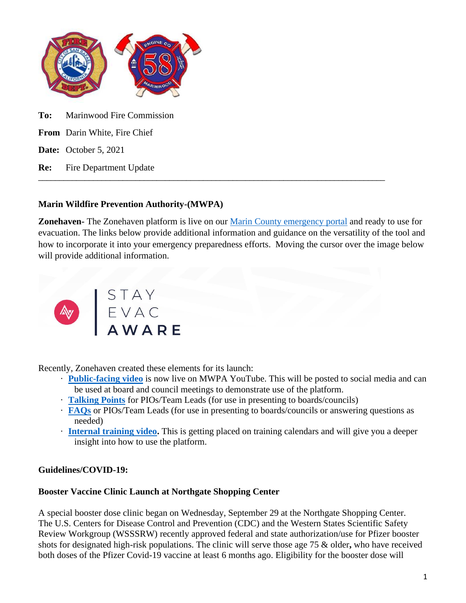

**Date:** October 5, 2021

**Re:** Fire Department Update

## **Marin Wildfire Prevention Authority-(MWPA)**

**Zonehaven-** The Zonehaven platform is live on our [Marin County emergency portal](https://emergency.marincounty.org/pages/evacuation) and ready to use for evacuation. The links below provide additional information and guidance on the versatility of the tool and how to incorporate it into your emergency preparedness efforts. Moving the cursor over the image below will provide additional information.

\_\_\_\_\_\_\_\_\_\_\_\_\_\_\_\_\_\_\_\_\_\_\_\_\_\_\_\_\_\_\_\_\_\_\_\_\_\_\_\_\_\_\_\_\_\_\_\_\_\_\_\_\_\_\_\_\_\_\_\_\_\_\_\_\_\_\_\_\_\_\_\_\_\_\_\_\_\_\_\_\_\_



Recently, Zonehaven created these elements for its launch:

- · **[Public-facing video](https://www.youtube.com/watch?v=PiC6kNmwGDg)** is now live on MWPA YouTube. This will be posted to social media and can be used at board and council meetings to demonstrate use of the platform.
- · **[Talking Points](https://docs.google.com/document/d/1O4DpxyJ2IOVpTCfT3gxdU10rmyyFDrSC5a7OFbFR5Hg/edit?usp=sharing)** for PIOs/Team Leads (for use in presenting to boards/councils)
- · **[FAQs](https://docs.google.com/document/d/1N4O2fje1wSsbhm4uWaF7ZQeKomlKt-q9jThMLzFBAoA/edit?usp=sharing)** or PIOs/Team Leads (for use in presenting to boards/councils or answering questions as needed)
- · **[Internal training video.](https://youtu.be/mk4ATQIGGbQ)** This is getting placed on training calendars and will give you a deeper insight into how to use the platform.

## **Guidelines/COVID-19:**

## **Booster Vaccine Clinic Launch at Northgate Shopping Center**

A special booster dose clinic began on Wednesday, September 29 at the Northgate Shopping Center. The U.S. Centers for Disease Control and Prevention (CDC) and the Western States Scientific Safety Review Workgroup (WSSSRW) recently approved federal and state authorization/use for Pfizer booster shots for designated high-risk populations. The clinic will serve those age 75 & older**,** who have received both doses of the Pfizer Covid-19 vaccine at least 6 months ago. Eligibility for the booster dose will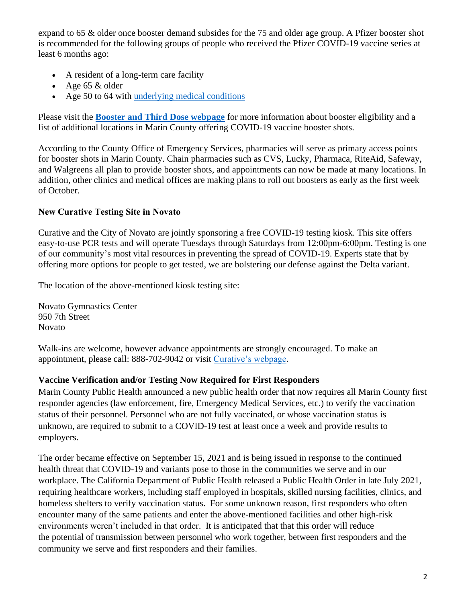expand to 65 & older once booster demand subsides for the 75 and older age group. A Pfizer booster shot is recommended for the following groups of people who received the Pfizer COVID-19 vaccine series at least 6 months ago:

- A resident of a long-term care facility
- Age  $65 \&$  older
- Age 50 to 64 with [underlying medical conditions](https://lnks.gd/l/eyJhbGciOiJIUzI1NiJ9.eyJidWxsZXRpbl9saW5rX2lkIjoxMDMsInVyaSI6ImJwMjpjbGljayIsImJ1bGxldGluX2lkIjoiMjAyMTA5MjQuNDY0NTQ3MjEiLCJ1cmwiOiJodHRwczovL3d3dy5jZGMuZ292L2Nvcm9uYXZpcnVzLzIwMTktbmNvdi9uZWVkLWV4dHJhLXByZWNhdXRpb25zL3Blb3BsZS13aXRoLW1lZGljYWwtY29uZGl0aW9ucy5odG1sIn0.Ib2mC1XtIAL9opouxbVUpqflB_BJa9XGK2WUv7HuKF0/s/434012187/br/112914443330-l)

Please visit the **[Booster and Third Dose webpage](https://lnks.gd/l/eyJhbGciOiJIUzI1NiJ9.eyJidWxsZXRpbl9saW5rX2lkIjoxMDIsInVyaSI6ImJwMjpjbGljayIsImJ1bGxldGluX2lkIjoiMjAyMTA5MjguNDY1NTA2MzEiLCJ1cmwiOiJodHRwczovL2Nvcm9uYXZpcnVzLm1hcmluaGhzLm9yZy9WYWNjaW5lQm9vc3RlciJ9.7ZdEIYIn8-5hMAb6_f6usdPi1Ja32GHuVNhAp4PPWPQ/s/434012187/br/112988721778-l)** for more information about booster eligibility and a list of additional locations in Marin County offering COVID-19 vaccine booster shots.

According to the County Office of Emergency Services, pharmacies will serve as primary access points for booster shots in Marin County. Chain pharmacies such as CVS, Lucky, Pharmaca, RiteAid, Safeway, and Walgreens all plan to provide booster shots, and appointments can now be made at many locations. In addition, other clinics and medical offices are making plans to roll out boosters as early as the first week of October.

## **New Curative Testing Site in Novato**

Curative and the City of Novato are jointly sponsoring a free COVID-19 testing kiosk. This site offers easy-to-use PCR tests and will operate Tuesdays through Saturdays from 12:00pm-6:00pm. Testing is one of our community's most vital resources in preventing the spread of COVID-19. Experts state that by offering more options for people to get tested, we are bolstering our defense against the Delta variant.

The location of the above-mentioned kiosk testing site:

Novato Gymnastics Center 950 7th Street Novato

Walk-ins are welcome, however advance appointments are strongly encouraged. To make an appointment, please call: 888-702-9042 or visit [Curative's webpage.](https://lnks.gd/l/eyJhbGciOiJIUzI1NiJ9.eyJidWxsZXRpbl9saW5rX2lkIjoxMDQsInVyaSI6ImJwMjpjbGljayIsImJ1bGxldGluX2lkIjoiMjAyMTA5MjguNDY1NTA2MzEiLCJ1cmwiOiJodHRwczovL2N1cmF0aXZlLmNvbS9zaXRlcy8zMjQ3MT9kYXRlPTIwMjEtMDktMjgifQ.Sb3wpxPWfu-XH38h8qx96bRii6Rkq1cgj98nVjP51hw/s/434012187/br/112988721778-l)

## **Vaccine Verification and/or Testing Now Required for First Responders**

Marin County Public Health announced a new public health order that now requires all Marin County first responder agencies (law enforcement, fire, Emergency Medical Services, etc.) to verify the vaccination status of their personnel. Personnel who are not fully vaccinated, or whose vaccination status is unknown, are required to submit to a COVID-19 test at least once a week and provide results to employers.

The order became effective on September 15, 2021 and is being issued in response to the continued health threat that COVID-19 and variants pose to those in the communities we serve and in our workplace. The California Department of Public Health released a Public Health Order in late July 2021, requiring healthcare workers, including staff employed in hospitals, skilled nursing facilities, clinics, and homeless shelters to verify vaccination status. For some unknown reason, first responders who often encounter many of the same patients and enter the above-mentioned facilities and other high-risk environments weren't included in that order. It is anticipated that that this order will reduce the potential of transmission between personnel who work together, between first responders and the community we serve and first responders and their families.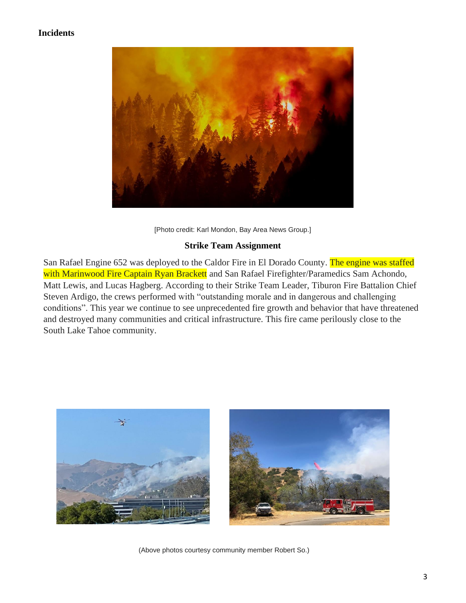## **Incidents**



[Photo credit: Karl Mondon, Bay Area News Group.]

### **Strike Team Assignment**

San Rafael Engine 652 was deployed to the Caldor Fire in El Dorado County. The engine was staffed with Marinwood Fire Captain Ryan Brackett and San Rafael Firefighter/Paramedics Sam Achondo, Matt Lewis, and Lucas Hagberg. According to their Strike Team Leader, Tiburon Fire Battalion Chief Steven Ardigo, the crews performed with "outstanding morale and in dangerous and challenging conditions". This year we continue to see unprecedented fire growth and behavior that have threatened and destroyed many communities and critical infrastructure. This fire came perilously close to the South Lake Tahoe community.



(Above photos courtesy community member Robert So.)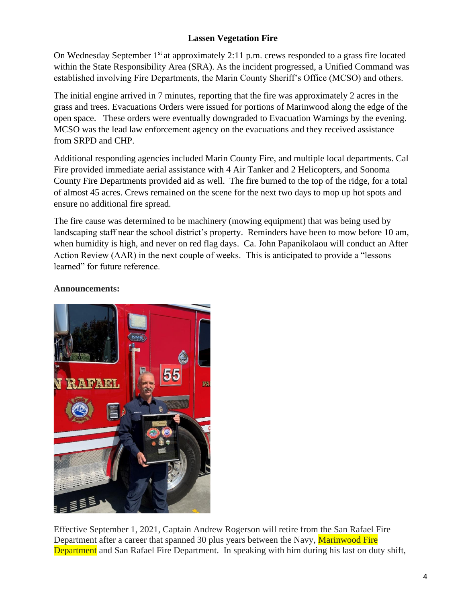## **Lassen Vegetation Fire**

On Wednesday September  $1<sup>st</sup>$  at approximately 2:11 p.m. crews responded to a grass fire located within the State Responsibility Area (SRA). As the incident progressed, a Unified Command was established involving Fire Departments, the Marin County Sheriff's Office (MCSO) and others.

The initial engine arrived in 7 minutes, reporting that the fire was approximately 2 acres in the grass and trees. Evacuations Orders were issued for portions of Marinwood along the edge of the open space. These orders were eventually downgraded to Evacuation Warnings by the evening. MCSO was the lead law enforcement agency on the evacuations and they received assistance from SRPD and CHP.

Additional responding agencies included Marin County Fire, and multiple local departments. Cal Fire provided immediate aerial assistance with 4 Air Tanker and 2 Helicopters, and Sonoma County Fire Departments provided aid as well. The fire burned to the top of the ridge, for a total of almost 45 acres. Crews remained on the scene for the next two days to mop up hot spots and ensure no additional fire spread.

The fire cause was determined to be machinery (mowing equipment) that was being used by landscaping staff near the school district's property. Reminders have been to mow before 10 am, when humidity is high, and never on red flag days. Ca. John Papanikolaou will conduct an After Action Review (AAR) in the next couple of weeks. This is anticipated to provide a "lessons learned" for future reference.



### **Announcements:**

Effective September 1, 2021, Captain Andrew Rogerson will retire from the San Rafael Fire Department after a career that spanned 30 plus years between the Navy, Marinwood Fire Department and San Rafael Fire Department. In speaking with him during his last on duty shift,